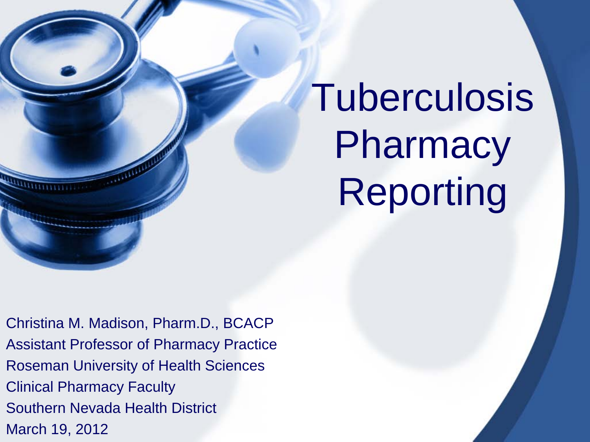# Tuberculosis **Pharmacy** Reporting

Christina M. Madison, Pharm.D., BCACP Assistant Professor of Pharmacy Practice Roseman University of Health Sciences Clinical Pharmacy Faculty Southern Nevada Health District March 19, 2012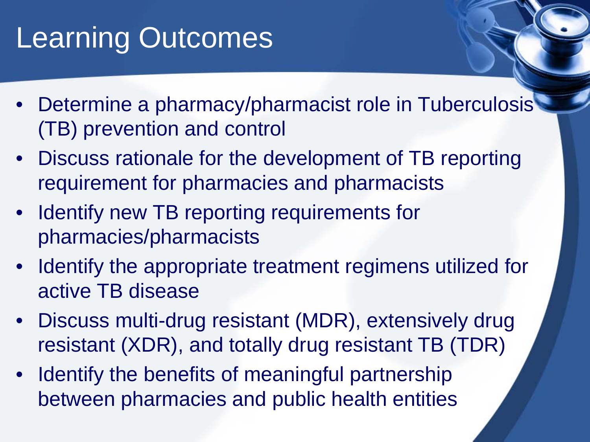### Learning Outcomes

- Determine a pharmacy/pharmacist role in Tuberculosis (TB) prevention and control
- Discuss rationale for the development of TB reporting requirement for pharmacies and pharmacists
- Identify new TB reporting requirements for pharmacies/pharmacists
- Identify the appropriate treatment regimens utilized for active TB disease
- Discuss multi-drug resistant (MDR), extensively drug resistant (XDR), and totally drug resistant TB (TDR)
- Identify the benefits of meaningful partnership between pharmacies and public health entities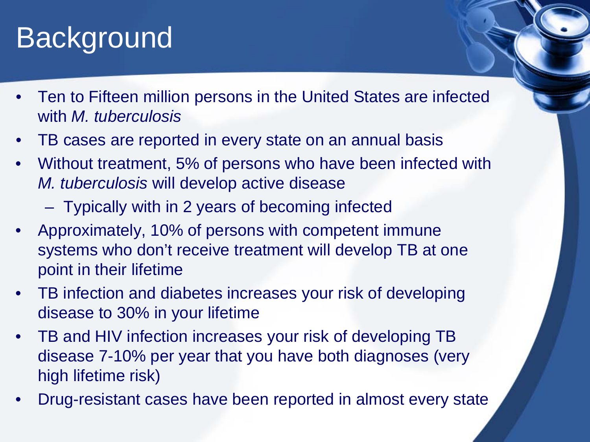#### **Background**

- Ten to Fifteen million persons in the United States are infected with *M. tuberculosis*
- TB cases are reported in every state on an annual basis
- Without treatment, 5% of persons who have been infected with *M. tuberculosis* will develop active disease
	- Typically with in 2 years of becoming infected
- Approximately, 10% of persons with competent immune systems who don't receive treatment will develop TB at one point in their lifetime
- TB infection and diabetes increases your risk of developing disease to 30% in your lifetime
- TB and HIV infection increases your risk of developing TB disease 7-10% per year that you have both diagnoses (very high lifetime risk)
- Drug-resistant cases have been reported in almost every state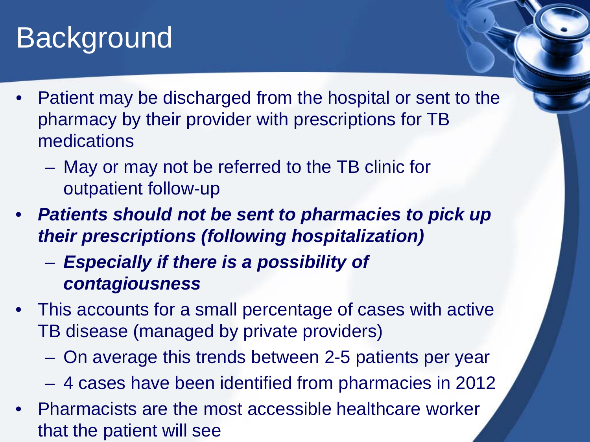#### Background

- Patient may be discharged from the hospital or sent to the pharmacy by their provider with prescriptions for TB medications
	- May or may not be referred to the TB clinic for outpatient follow-up
- *Patients should not be sent to pharmacies to pick up their prescriptions (following hospitalization)*
	- *Especially if there is a possibility of contagiousness*
- This accounts for a small percentage of cases with active TB disease (managed by private providers)
	- On average this trends between 2-5 patients per year
	- 4 cases have been identified from pharmacies in 2012
- Pharmacists are the most accessible healthcare worker that the patient will see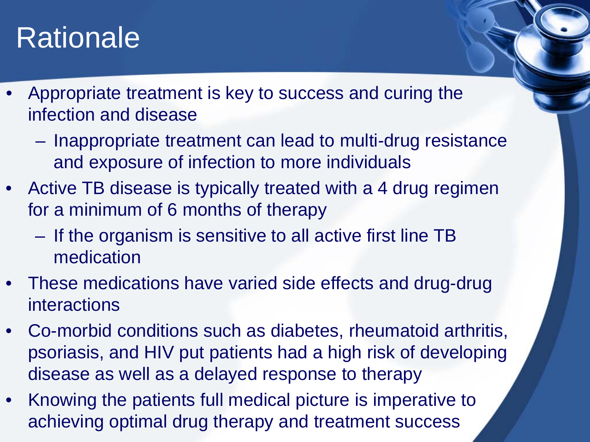#### Rationale

- Appropriate treatment is key to success and curing the infection and disease
	- Inappropriate treatment can lead to multi-drug resistance and exposure of infection to more individuals
- Active TB disease is typically treated with a 4 drug regimen for a minimum of 6 months of therapy
	- If the organism is sensitive to all active first line TB medication
- These medications have varied side effects and drug-drug interactions
- Co-morbid conditions such as diabetes, rheumatoid arthritis, psoriasis, and HIV put patients had a high risk of developing disease as well as a delayed response to therapy
- Knowing the patients full medical picture is imperative to achieving optimal drug therapy and treatment success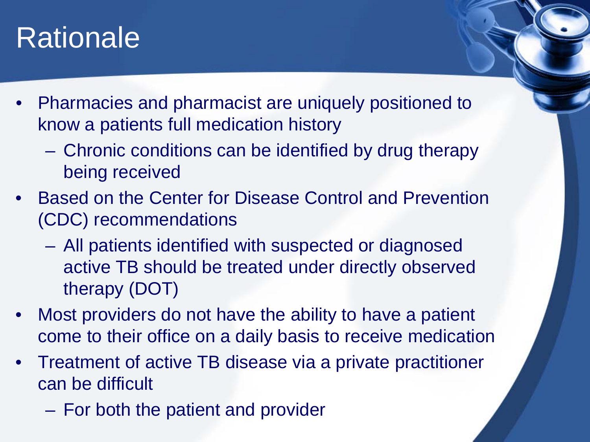#### **Rationale**

- Pharmacies and pharmacist are uniquely positioned to know a patients full medication history
	- Chronic conditions can be identified by drug therapy being received
- Based on the Center for Disease Control and Prevention (CDC) recommendations
	- All patients identified with suspected or diagnosed active TB should be treated under directly observed therapy (DOT)
- Most providers do not have the ability to have a patient come to their office on a daily basis to receive medication
- Treatment of active TB disease via a private practitioner can be difficult
	- For both the patient and provider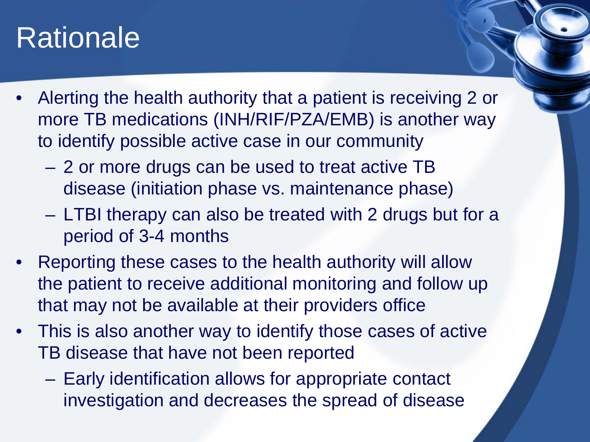#### Rationale

- Alerting the health authority that a patient is receiving 2 or more TB medications (INH/RIF/PZA/EMB) is another way to identify possible active case in our community
	- 2 or more drugs can be used to treat active TB disease (initiation phase vs. maintenance phase)
	- LTBI therapy can also be treated with 2 drugs but for a period of 3-4 months
- Reporting these cases to the health authority will allow the patient to receive additional monitoring and follow up that may not be available at their providers office
- This is also another way to identify those cases of active TB disease that have not been reported
	- Early identification allows for appropriate contact investigation and decreases the spread of disease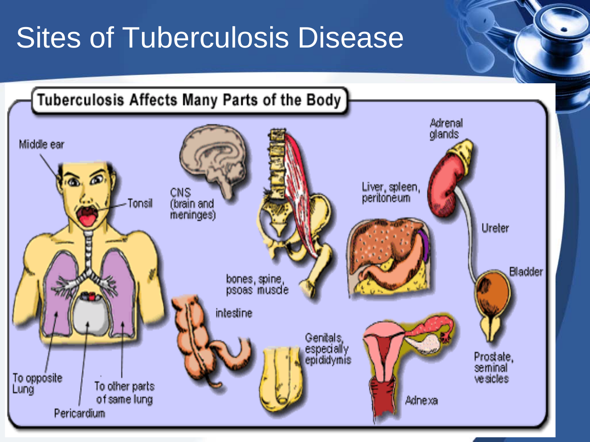### Sites of Tuberculosis Disease

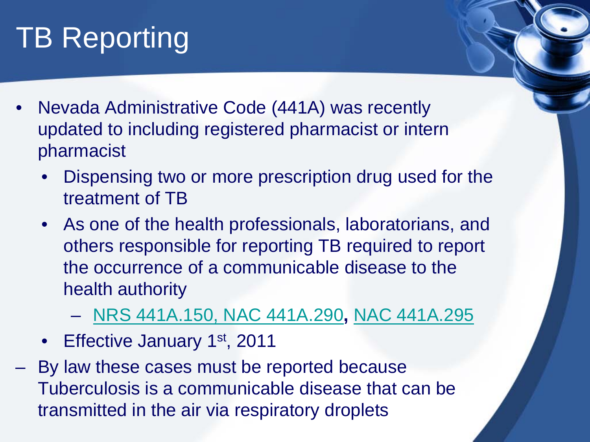- Nevada Administrative Code (441A) was recently updated to including registered pharmacist or intern pharmacist
	- Dispensing two or more prescription drug used for the treatment of TB
	- As one of the health professionals, laboratorians, and others responsible for reporting TB required to report the occurrence of a communicable disease to the health authority
		- [NRS 441A.150,](http://www.leg.state.nv.us/NRS/NRS-441A.html) [NAC 441A.290](http://www.leg.state.nv.us/Nac/NAC-441A.html)**,** [NAC 441A.295](http://www.leg.state.nv.us/Nac/NAC-441A.html)
	- Effective January 1<sup>st</sup>, 2011
- By law these cases must be reported because Tuberculosis is a communicable disease that can be transmitted in the air via respiratory droplets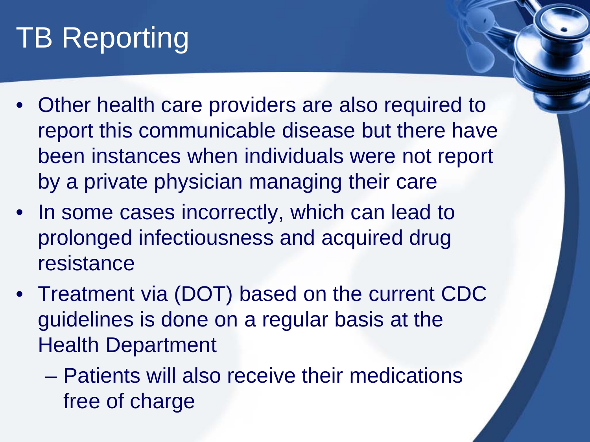- Other health care providers are also required to report this communicable disease but there have been instances when individuals were not report by a private physician managing their care
- In some cases incorrectly, which can lead to prolonged infectiousness and acquired drug resistance
- Treatment via (DOT) based on the current CDC guidelines is done on a regular basis at the Health Department
	- Patients will also receive their medications free of charge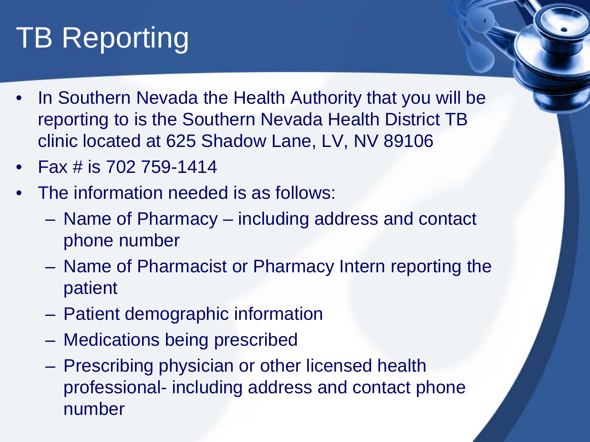- In Southern Nevada the Health Authority that you will be reporting to is the Southern Nevada Health District TB clinic located at 625 Shadow Lane, LV, NV 89106
- Fax # is 702 759-1414
- The information needed is as follows:
	- Name of Pharmacy including address and contact phone number
	- Name of Pharmacist or Pharmacy Intern reporting the patient
	- Patient demographic information
	- Medications being prescribed
	- Prescribing physician or other licensed health professional- including address and contact phone number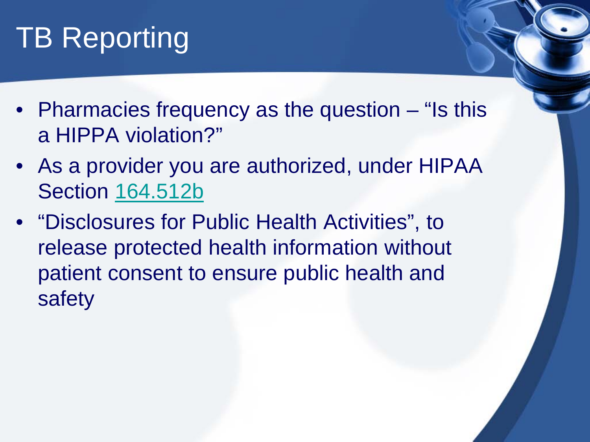- Pharmacies frequency as the question "Is this a HIPPA violation?"
- As a provider you are authorized, under HIPAA Section [164.512b](http://www.hhs.gov/ocr/privacy/hipaa/understanding/special/publichealth/publichealth.pdf)
- "Disclosures for Public Health Activities", to release protected health information without patient consent to ensure public health and safety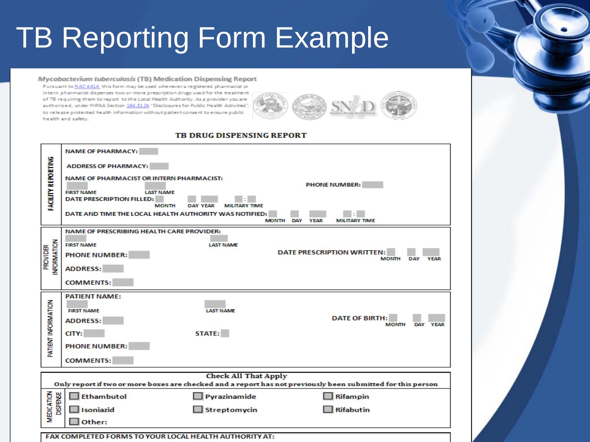### **TB Reporting Form Example**

#### Mycobacterium tuberculosis (TB) Medication Dispensing Report

Pursuant to NAC441A this form may be used whenever a registered pharmacist or intern pharmacist dispenses two or more prescription drugs used for the treatment of TB requiring them to report to the Local Health Authority. As a provider you are authorized, under HIPAA Section 164.512b "Disclosures for Public Health Activities", to release protected health information without patient consent to ensure public health and safety.



#### TB DRUG DISPENSING REPORT

|                                                                                                             | <b>NAME OF PHARMACY:</b>                                                  |                                         |                      |             |                                                   |                           |  |  |  |
|-------------------------------------------------------------------------------------------------------------|---------------------------------------------------------------------------|-----------------------------------------|----------------------|-------------|---------------------------------------------------|---------------------------|--|--|--|
|                                                                                                             | <b>ADDRESS OF PHARMACY:</b>                                               |                                         |                      |             |                                                   |                           |  |  |  |
|                                                                                                             | <b>NAME OF PHARMACIST OR INTERN PHARMACIST:</b>                           |                                         | <b>PHONE NUMBER:</b> |             |                                                   |                           |  |  |  |
| <b>FACILITY REPORTING</b>                                                                                   | <b>FIRST NAME</b><br><b>LAST NAME</b><br><b>DATE PRESCRIPTION FILLED:</b> |                                         |                      |             |                                                   |                           |  |  |  |
|                                                                                                             | <b>MONTH</b><br>DATE AND TIME THE LOCAL HEALTH AUTHORITY WAS NOTIFIED:    | <b>DAY YEAR</b><br><b>MILITARY TIME</b> |                      |             |                                                   |                           |  |  |  |
|                                                                                                             |                                                                           | <b>MONTH</b>                            | DAY                  | <b>YEAR</b> | <b>MILITARY TIME</b>                              |                           |  |  |  |
|                                                                                                             | <b>NAME OF PRESCRIBING HEALTH CARE PROVIDER:</b>                          |                                         |                      |             |                                                   |                           |  |  |  |
| <b>INFORMATION</b><br><b>PROVIDER</b>                                                                       | <b>FIRST NAME</b>                                                         | <b>LAST NAME</b>                        |                      |             |                                                   |                           |  |  |  |
|                                                                                                             | <b>PHONE NUMBER:</b>                                                      |                                         |                      |             | <b>DATE PRESCRIPTION WRITTEN:</b><br><b>MONTH</b> | <b>DAY</b><br><b>YEAR</b> |  |  |  |
|                                                                                                             | <b>ADDRESS:</b>                                                           |                                         |                      |             |                                                   |                           |  |  |  |
|                                                                                                             | <b>COMMENTS:</b>                                                          |                                         |                      |             |                                                   |                           |  |  |  |
| PATIENT INFORMATION                                                                                         | <b>PATIENT NAME:</b>                                                      |                                         |                      |             |                                                   |                           |  |  |  |
|                                                                                                             | <b>FIRST NAME</b>                                                         | <b>LAST NAME</b>                        |                      |             |                                                   |                           |  |  |  |
|                                                                                                             | <b>ADDRESS:</b>                                                           |                                         |                      |             | <b>DATE OF BIRTH:</b><br><b>MONTH</b>             | DAY YEAR                  |  |  |  |
|                                                                                                             | CITY:                                                                     | STATE:                                  |                      |             |                                                   |                           |  |  |  |
|                                                                                                             | <b>PHONE NUMBER:</b>                                                      |                                         |                      |             |                                                   |                           |  |  |  |
|                                                                                                             | <b>COMMENTS:</b>                                                          |                                         |                      |             |                                                   |                           |  |  |  |
| <b>Check All That Apply</b>                                                                                 |                                                                           |                                         |                      |             |                                                   |                           |  |  |  |
| Only report if two or more boxes are checked and a report has not previously been submitted for this person |                                                                           |                                         |                      |             |                                                   |                           |  |  |  |
| MEDICATION<br><b>DISPENSE</b>                                                                               | Ethambutol                                                                | Pyrazinamide                            |                      |             | Rifampin                                          |                           |  |  |  |
|                                                                                                             | Isoniazid                                                                 | Streptomycin                            |                      |             | <b>Rifabutin</b>                                  |                           |  |  |  |
|                                                                                                             | Other:                                                                    |                                         |                      |             |                                                   |                           |  |  |  |
| FAX COMPLETED FORMS TO YOUR LOCAL HEALTH AUTHORITY AT:                                                      |                                                                           |                                         |                      |             |                                                   |                           |  |  |  |
|                                                                                                             |                                                                           |                                         |                      |             |                                                   |                           |  |  |  |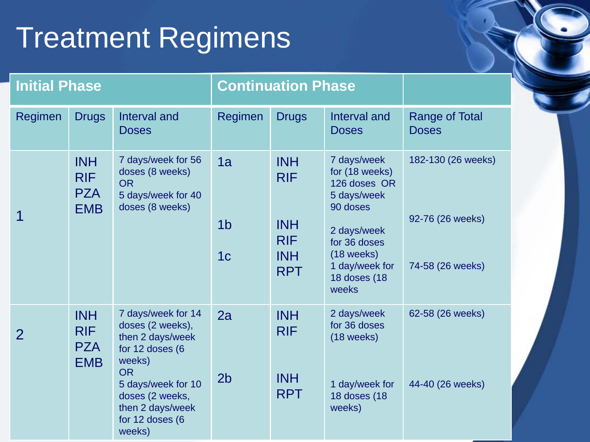# Treatment Regimens

| <b>Initial Phase</b> |                                                      |                                                                                                                                                                                                | <b>Continuation Phase</b>              |                                                                                  |                                                                                                                                                                    |                                                            |
|----------------------|------------------------------------------------------|------------------------------------------------------------------------------------------------------------------------------------------------------------------------------------------------|----------------------------------------|----------------------------------------------------------------------------------|--------------------------------------------------------------------------------------------------------------------------------------------------------------------|------------------------------------------------------------|
| Regimen              | <b>Drugs</b>                                         | Interval and<br><b>Doses</b>                                                                                                                                                                   | Regimen                                | <b>Drugs</b>                                                                     | Interval and<br><b>Doses</b>                                                                                                                                       | <b>Range of Total</b><br><b>Doses</b>                      |
|                      | <b>INH</b><br><b>RIF</b><br><b>PZA</b><br><b>EMB</b> | 7 days/week for 56<br>doses (8 weeks)<br><b>OR</b><br>5 days/week for 40<br>doses (8 weeks)                                                                                                    | 1a<br>1 <sub>b</sub><br>1 <sub>c</sub> | <b>INH</b><br><b>RIF</b><br><b>INH</b><br><b>RIF</b><br><b>INH</b><br><b>RPT</b> | 7 days/week<br>for (18 weeks)<br>126 doses OR<br>5 days/week<br>90 doses<br>2 days/week<br>for 36 doses<br>$(18$ weeks)<br>1 day/week for<br>18 doses (18<br>weeks | 182-130 (26 weeks)<br>92-76 (26 weeks)<br>74-58 (26 weeks) |
| 2                    | <b>INH</b><br><b>RIF</b><br><b>PZA</b><br><b>EMB</b> | 7 days/week for 14<br>doses (2 weeks),<br>then 2 days/week<br>for 12 doses (6<br>weeks)<br><b>OR</b><br>5 days/week for 10<br>doses (2 weeks,<br>then 2 days/week<br>for 12 doses (6<br>weeks) | 2a<br>2 <sub>b</sub>                   | <b>INH</b><br><b>RIF</b><br><b>INH</b><br><b>RPT</b>                             | 2 days/week<br>for 36 doses<br>$(18$ weeks)<br>1 day/week for<br>18 doses (18<br>weeks)                                                                            | 62-58 (26 weeks)<br>44-40 (26 weeks)                       |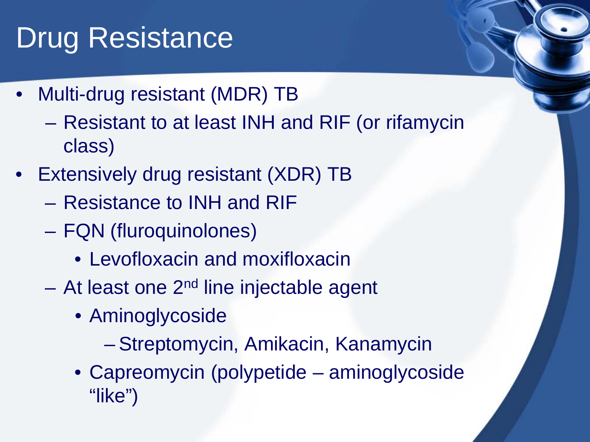## Drug Resistance

- Multi-drug resistant (MDR) TB
	- Resistant to at least INH and RIF (or rifamycin class)
- Extensively drug resistant (XDR) TB
	- Resistance to INH and RIF
	- FQN (fluroquinolones)
		- Levofloxacin and moxifloxacin
	- $-$  At least one 2<sup>nd</sup> line injectable agent
		- Aminoglycoside
			- Streptomycin, Amikacin, Kanamycin
		- Capreomycin (polypetide aminoglycoside "like")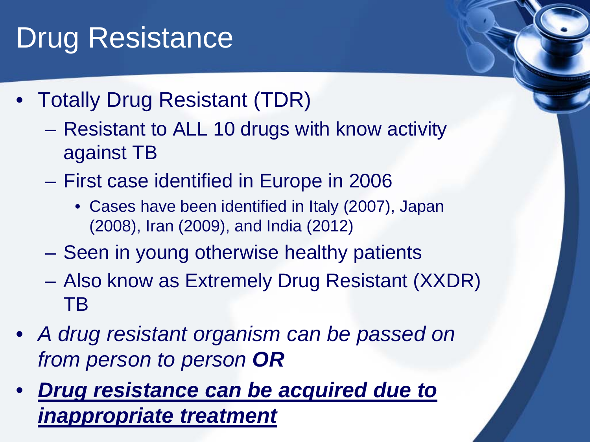## Drug Resistance

- Totally Drug Resistant (TDR)
	- Resistant to ALL 10 drugs with know activity against TB
	- First case identified in Europe in 2006
		- Cases have been identified in Italy (2007), Japan (2008), Iran (2009), and India (2012)
	- Seen in young otherwise healthy patients
	- Also know as Extremely Drug Resistant (XXDR) TB
- *A drug resistant organism can be passed on from person to person OR*
- *Drug resistance can be acquired due to inappropriate treatment*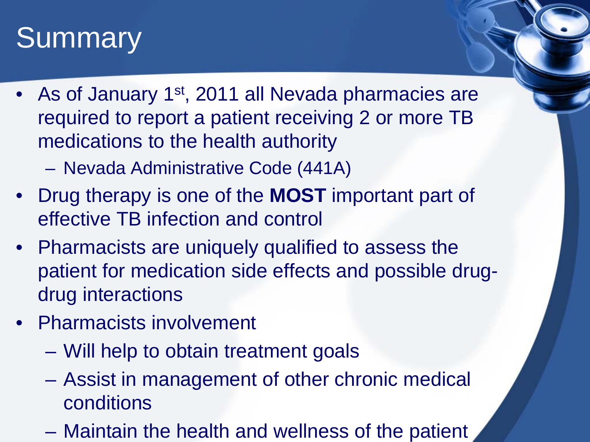#### **Summary**

- As of January 1<sup>st</sup>, 2011 all Nevada pharmacies are required to report a patient receiving 2 or more TB medications to the health authority
	- Nevada Administrative Code (441A)
- Drug therapy is one of the **MOST** important part of effective TB infection and control
- Pharmacists are uniquely qualified to assess the patient for medication side effects and possible drugdrug interactions
- Pharmacists involvement
	- Will help to obtain treatment goals
	- Assist in management of other chronic medical conditions
	- Maintain the health and wellness of the patient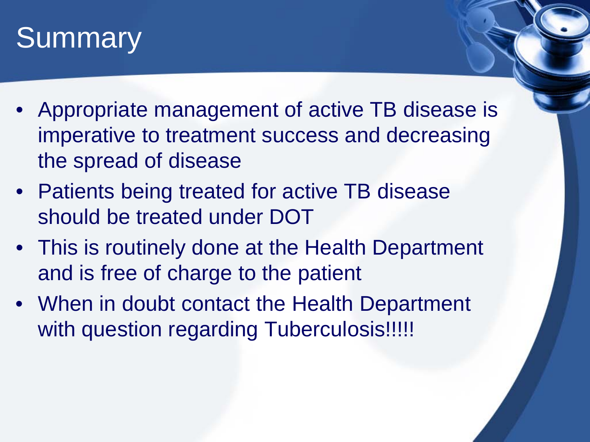#### **Summary**

- Appropriate management of active TB disease is imperative to treatment success and decreasing the spread of disease
- Patients being treated for active TB disease should be treated under DOT
- This is routinely done at the Health Department and is free of charge to the patient
- When in doubt contact the Health Department with question regarding Tuberculosis!!!!!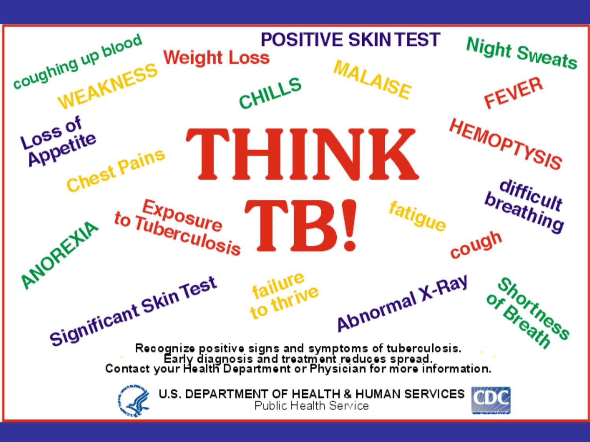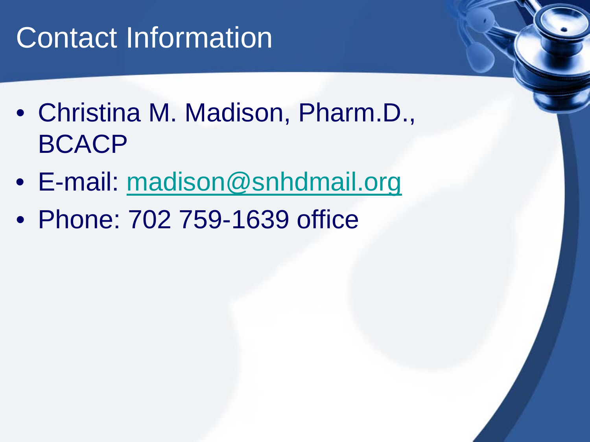### Contact Information

- Christina M. Madison, Pharm.D., BCACP
- E-mail: [madison@snhdmail.org](mailto:madison@snhdmail.org)
- Phone: 702 759-1639 office